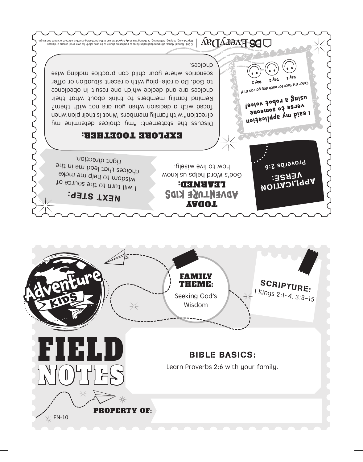

## NEXT STEP:

I will turn to the source of wisdom to help me make choices that lead me in the right direction.

## TODAY **ADVENTURE KIDS** LEARNED:

God's Word helps us know how to live wisely.

## EXPLORE TOGETHER:

Discuss the statement: who beiops soliding the suitable manifology direction" with family members. What is their plan when faced with a decision when you are not with them? Remind family members to think about what their choices are and decide which one result in obedience to God. Do a role-play with a recent situation or offer scenarios where your child can practice making wise choices. **Day 1 Day 2 Day 3**

**MOILYOFIGAT** VERSE:

**Proverbs 2:6**

**I said my application verse to someone using a robot voice!**

**Color the face for each day you do this!**

@ 2021 Bassal op groop vin groots of die and the study beyond the use of the purchang in a broad of earse.<br>Ispelli bns acirits to rhassed a ai dourd pricefarmed of the use of the purchang parabote of a broad of lishue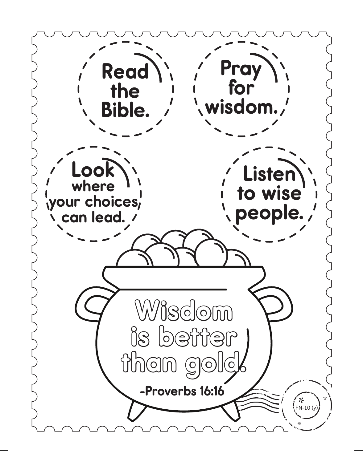